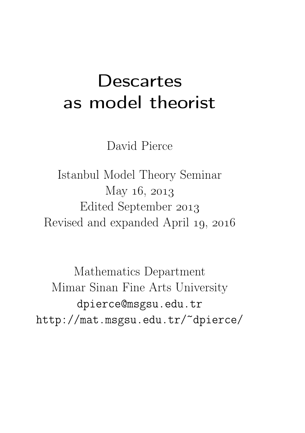### **Descartes** as model theorist

David Pierce

Istanbul Model Theory Seminar May  $16, 2013$ Edited September Revised and expanded April 19, 2016

Mathematics Department Mimar Sinan Fine Arts University dpierce@msgsu.edu.tr http://mat.msgsu.edu.tr/~dpierce/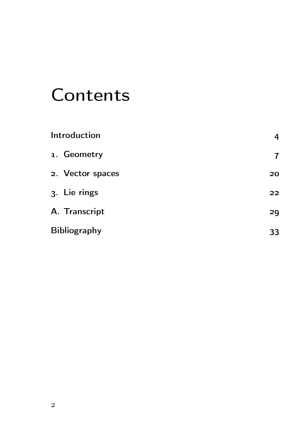## **Contents**

| Introduction        | 4  |
|---------------------|----|
| 1. Geometry         | 7  |
| 2. Vector spaces    | 20 |
| 3. Lie rings        | 22 |
| A. Transcript       | 29 |
| <b>Bibliography</b> | 33 |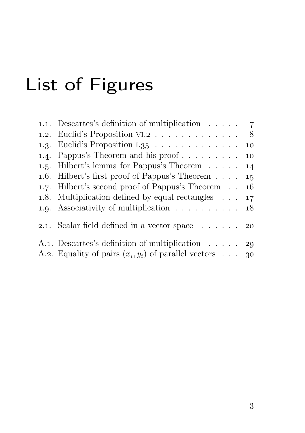# List of Figures

| 1.1. Descartes's definition of multiplication $\ldots$ 7               |  |
|------------------------------------------------------------------------|--|
| 1.2. Euclid's Proposition VI.2 8                                       |  |
| 1.3. Euclid's Proposition I.35 $\ldots \ldots \ldots \ldots \ldots$ 10 |  |
| 1.4. Pappus's Theorem and his proof 10                                 |  |
| 1.5. Hilbert's lemma for Pappus's Theorem 14                           |  |
| 1.6. Hilbert's first proof of Pappus's Theorem $\ldots$ 15             |  |
| 1.7. Hilbert's second proof of Pappus's Theorem 16                     |  |
| 1.8. Multiplication defined by equal rectangles $\ldots$ 17            |  |
| 1.9. Associativity of multiplication $\ldots \ldots \ldots \ldots$ 18  |  |
| 2.1. Scalar field defined in a vector space $\ldots$ 20                |  |
| A.1. Descartes's definition of multiplication 29                       |  |
| A.2. Equality of pairs $(x_i, y_i)$ of parallel vectors 30             |  |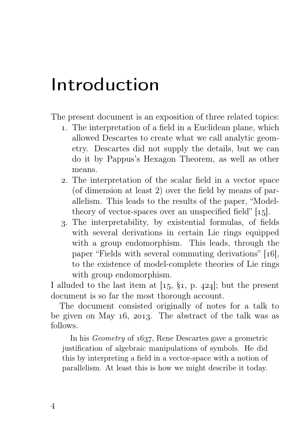### Introduction

The present document is an exposition of three related topics:

- . The interpretation of a field in a Euclidean plane, which allowed Descartes to create what we call analytic geometry. Descartes did not supply the details, but we can do it by Pappus's Hexagon Theorem, as well as other means.
- . The interpretation of the scalar field in a vector space (of dimension at least 2) over the field by means of parallelism. This leads to the results of the paper, "Modeltheory of vector-spaces over an unspecified field"  $[15]$ .
- . The interpretability, by existential formulas, of fields with several derivations in certain Lie rings equipped with a group endomorphism. This leads, through the paper "Fields with several commuting derivations"  $[16]$ , to the existence of model-complete theories of Lie rings with group endomorphism.

I alluded to the last item at  $[15, \, \S_1, \, p. \, 424]$ ; but the present document is so far the most thorough account.

The document consisted originally of notes for a talk to be given on May  $16$ , 2013. The abstract of the talk was as follows.

In his *Geometry* of 1637, Rene Descartes gave a geometric justification of algebraic manipulations of symbols. He did this by interpreting a field in a vector-space with a notion of parallelism. At least this is how we might describe it today.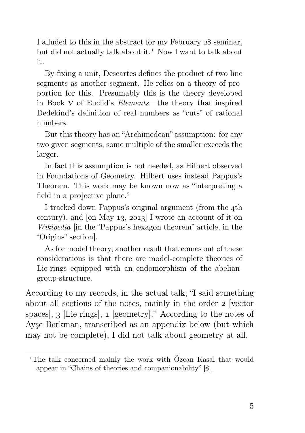I alluded to this in the abstract for my February 28 seminar, but did not actually talk about it.<sup>1</sup> Now I want to talk about it.

By fixing a unit, Descartes defines the product of two line segments as another segment. He relies on a theory of proportion for this. Presumably this is the theory developed in Book v of Euclid's Elements—the theory that inspired Dedekind's definition of real numbers as "cuts" of rational numbers.

But this theory has an "Archimedean" assumption: for any two given segments, some multiple of the smaller exceeds the larger.

In fact this assumption is not needed, as Hilbert observed in Foundations of Geometry. Hilbert uses instead Pappus's Theorem. This work may be known now as "interpreting a field in a projective plane."

I tracked down Pappus's original argument (from the 4th century), and [on May  $13$ ,  $2013$ ] I wrote an account of it on Wikipedia [in the "Pappus's hexagon theorem" article, in the "Origins" section].

As for model theory, another result that comes out of these considerations is that there are model-complete theories of Lie-rings equipped with an endomorphism of the abeliangroup-structure.

According to my records, in the actual talk, "I said something about all sections of the notes, mainly in the order 2 [vector spaces,  $\alpha$  [Lie rings], a [geometry]." According to the notes of Ayşe Berkman, transcribed as an appendix below (but which may not be complete), I did not talk about geometry at all.

The talk concerned mainly the work with Özcan Kasal that would appear in "Chains of theories and companionability" [8].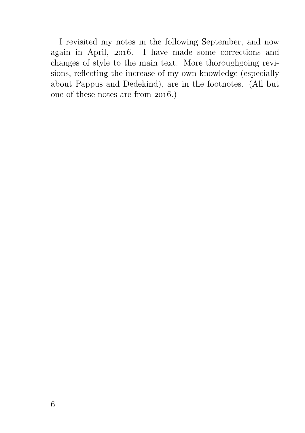I revisited my notes in the following September, and now again in April, 2016. I have made some corrections and changes of style to the main text. More thoroughgoing revisions, reflecting the increase of my own knowledge (especially about Pappus and Dedekind), are in the footnotes. (All but one of these notes are from  $2016$ .)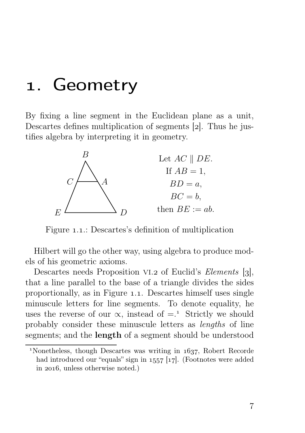#### . Geometry

By fixing a line segment in the Euclidean plane as a unit, Descartes defines multiplication of segments  $[2]$ . Thus he justifies algebra by interpreting it in geometry.



Figure 1.1.: Descartes's definition of multiplication

Hilbert will go the other way, using algebra to produce models of his geometric axioms.

Descartes needs Proposition VI.2 of Euclid's Elements  $[3]$ , that a line parallel to the base of a triangle divides the sides proportionally, as in Figure .. Descartes himself uses single minuscule letters for line segments. To denote equality, he uses the reverse of our  $\propto$ , instead of  $=$ .<sup>1</sup> Strictly we should probably consider these minuscule letters as lengths of line segments; and the length of a segment should be understood

 $N$ <sup>1</sup>Nonetheless, though Descartes was writing in  $1637$ , Robert Recorde had introduced our "equals" sign in  $1557$  [17]. (Footnotes were added in 2016, unless otherwise noted.)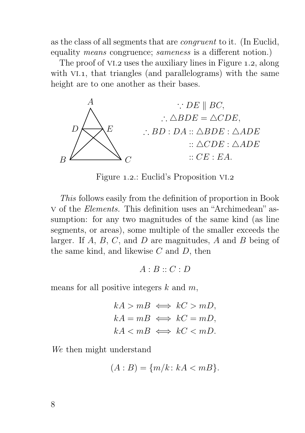as the class of all segments that are congruent to it. (In Euclid, equality means congruence; sameness is a different notion.)

The proof of VI.2 uses the auxiliary lines in Figure 1.2, along with  $VI.1$ , that triangles (and parallelograms) with the same height are to one another as their bases.



Figure 1.2.: Euclid's Proposition VI.2

This follows easily from the definition of proportion in Book v of the Elements. This definition uses an "Archimedean" assumption: for any two magnitudes of the same kind (as line segments, or areas), some multiple of the smaller exceeds the larger. If A, B, C, and D are magnitudes, A and B being of the same kind, and likewise  $C$  and  $D$ , then

 $A:B::C:D$ 

means for all positive integers  $k$  and  $m$ ,

$$
kA > mB \iff kC > mD,
$$
  
\n
$$
kA = mB \iff kC = mD,
$$
  
\n
$$
kA < mB \iff kC < mD.
$$

We then might understand

$$
(A:B) = \{m/k : kA < mB\}.
$$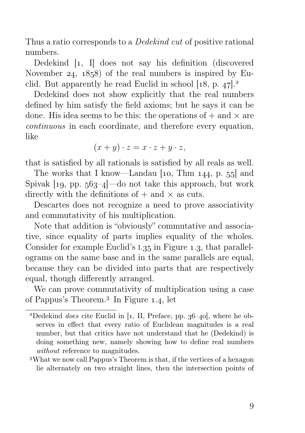Thus a ratio corresponds to a *Dedekind cut* of positive rational numbers.

Dedekind [1, I] does not say his definition (discovered November 24,  $1858$  of the real numbers is inspired by Euclid. But apparently he read Euclid in school  $[18, p. 47]$ .

Dedekind does not show explicitly that the real numbers defined by him satisfy the field axioms; but he says it can be done. His idea seems to be this: the operations of  $+$  and  $\times$  are continuous in each coordinate, and therefore every equation, like

 $(x + y) \cdot z = x \cdot z + y \cdot z$ ,

that is satisfied by all rationals is satisfied by all reals as well.

The works that I know—Landau  $[10, Thm 144, p. 55]$  and Spivak  $\lceil \log_2 p \rceil$ ,  $\lceil \log_2 p \rceil$  do not take this approach, but work directly with the definitions of  $+$  and  $\times$  as cuts.

Descartes does not recognize a need to prove associativity and commutativity of his multiplication.

Note that addition is "obviously" commutative and associative, since equality of parts implies equality of the wholes. Consider for example Euclid's  $1.35$  in Figure 1.3, that parallelograms on the same base and in the same parallels are equal, because they can be divided into parts that are respectively equal, though differently arranged.

We can prove commutativity of multiplication using a case of Pappus's Theorem.<sup>3</sup> In Figure 1.4, let

<sup>&</sup>lt;sup>2</sup>Dedekind *does* cite Euclid in  $\left[1, II, Preface, pp. 36–40\right]$ , where he observes in effect that every ratio of Euclidean magnitudes is a real number, but that critics have not understand that he (Dedekind) is doing something new, namely showing how to define real numbers without reference to magnitudes.

What we now call Pappus's Theorem is that, if the vertices of a hexagon lie alternately on two straight lines, then the intersection points of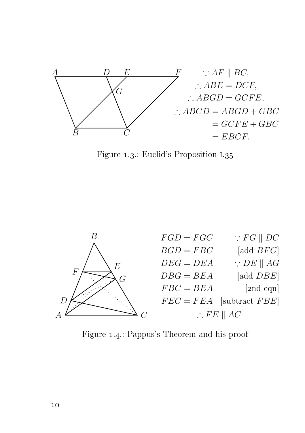

Figure 1.3.: Euclid's Proposition I.35



Figure 1.4.: Pappus's Theorem and his proof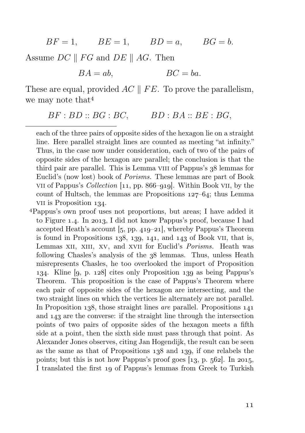$BF = 1,$   $BE = 1,$   $BD = a,$   $BG = b.$ 

Assume  $DC \parallel FG$  and  $DE \parallel AG$ . Then

 $BA = ab$ ,  $BC = ba$ .

These are equal, provided  $AC \parallel FE$ . To prove the parallelism, we may note that

$$
BF: BD::BG: BC, \qquad BD:BA::BE:BG,
$$

each of the three pairs of opposite sides of the hexagon lie on a straight line. Here parallel straight lines are counted as meeting "at infinity." Thus, in the case now under consideration, each of two of the pairs of opposite sides of the hexagon are parallel; the conclusion is that the third pair are parallel. This is Lemma VIII of Pappus's  $38$  lemmas for Euclid's (now lost) book of Porisms. These lemmas are part of Book vii of Pappus's *Collection*  $\lbrack 11, pp. 866–q1q \rbrack$ . Within Book vii, by the count of Hultsch, the lemmas are Propositions  $127-64$ ; thus Lemma VII is Proposition 134.

Pappus's own proof uses not proportions, but areas; I have added it to Figure 1.4. In 2013, I did not know Pappus's proof, because I had accepted Heath's account  $[5, pp. 419-21]$ , whereby Pappus's Theorem is found in Propositions  $138, 139, 141,$  and  $143$  of Book VII, that is, Lemmas XII, XIII, XV, and XVII for Euclid's *Porisms*. Heath was following Chasles's analysis of the  $38$  lemmas. Thus, unless Heath misrepresents Chasles, he too overlooked the import of Proposition 134. Kline  $[9, p. 128]$  cites only Proposition 139 as being Pappus's Theorem. This proposition is the case of Pappus's Theorem where each pair of opposite sides of the hexagon are intersecting, and the two straight lines on which the vertices lie alternately are not parallel. In Proposition 138, those straight lines *are* parallel. Propositions  $141$ and 143 are the converse: if the straight line through the intersection points of two pairs of opposite sides of the hexagon meets a fifth side at a point, then the sixth side must pass through that point. As Alexander Jones observes, citing Jan Hogendijk, the result can be seen as the same as that of Propositions  $138$  and  $139$ , if one relabels the points; but this is not how Pappus's proof goes  $[13, p. 562]$ . In 2015, I translated the first 19 of Pappus's lemmas from Greek to Turkish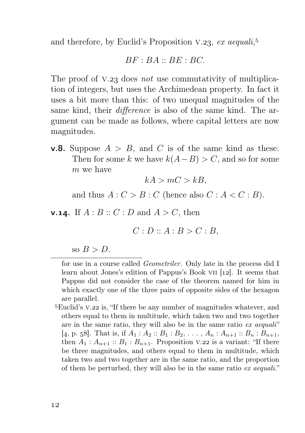and therefore, by Euclid's Proposition V.23,  $ex\ a equali$ ,<sup>5</sup>

$$
BF:BA::BE:BC.
$$

The proof of  $V.23$  does not use commutativity of multiplication of integers, but uses the Archimedean property. In fact it uses a bit more than this: of two unequal magnitudes of the same kind, their *difference* is also of the same kind. The argument can be made as follows, where capital letters are now magnitudes.

**v.8.** Suppose  $A > B$ , and C is of the same kind as these. Then for some k we have  $k(A-B) > C$ , and so for some m we have

$$
kA > mC > kB,
$$

and thus  $A: C > B: C$  (hence also  $C: A < C: B$ ).

**v.14.** If  $A : B :: C : D$  and  $A > C$ , then

$$
C: D :: A : B > C : B,
$$

so  $B > D$ .

for use in a course called Geometriler. Only late in the process did I learn about Jones's edition of Pappus's Book VII  $[12]$ . It seems that Pappus did not consider the case of the theorem named for him in which exactly one of the three pairs of opposite sides of the hexagon are parallel.

<sup>5</sup>Euclid's V.22 is, "If there be any number of magnitudes whatever, and others equal to them in multitude, which taken two and two together are in the same ratio, they will also be in the same ratio ex aequali" [4, p. 58]. That is, if  $A_1 : A_2 :: B_1 : B_2, \ldots, A_n : A_{n+1} :: B_n : B_{n+1}$ , then  $A_1 : A_{n+1} :: B_1 : B_{n+1}$ . Proposition V.22 is a variant: "If there be three magnitudes, and others equal to them in multitude, which taken two and two together are in the same ratio, and the proportion of them be perturbed, they will also be in the same ratio ex aequali."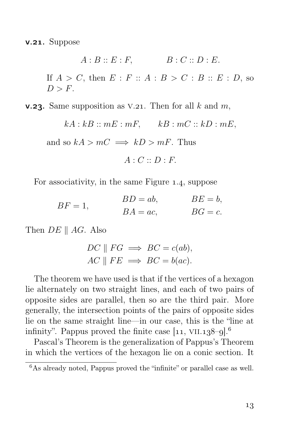$v.21.$  Suppose

 $A : B :: E : F,$   $B : C :: D : E.$ If  $A > C$ , then  $E : F :: A : B > C : B :: E : D$ , so  $D > F$ .

**v.23.** Same supposition as V.21. Then for all k and m,

 $kA : kB :: mE : mF,$   $kB : mC :: kD : mE,$ 

and so  $kA > mC \implies kD > mF$ . Thus

 $A \cdot C \cdot D \cdot F$ 

For associativity, in the same Figure 1.4, suppose

$$
BF = 1, \t\t BD = ab, \t BE = b,
$$
  

$$
BA = ac, \t BG = c.
$$

Then  $DE \parallel AG$ . Also

$$
DC \parallel FG \implies BC = c(ab),
$$
  
 
$$
AC \parallel FE \implies BC = b(ac).
$$

The theorem we have used is that if the vertices of a hexagon lie alternately on two straight lines, and each of two pairs of opposite sides are parallel, then so are the third pair. More generally, the intersection points of the pairs of opposite sides lie on the same straight line—in our case, this is the "line at infinity". Pappus proved the finite case  $[11, VIII.138–9].<sup>6</sup>$ 

Pascal's Theorem is the generalization of Pappus's Theorem in which the vertices of the hexagon lie on a conic section. It

<sup>&</sup>lt;sup>6</sup>As already noted, Pappus proved the "infinite" or parallel case as well.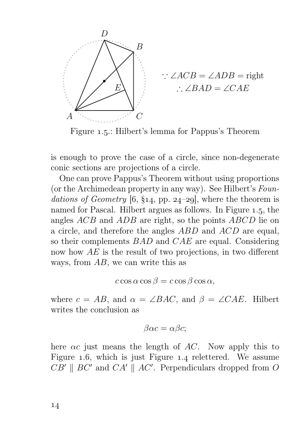

$$
\therefore \angle ACB = \angle ADB = \text{right}
$$
  

$$
\therefore \angle BAD = \angle CAE
$$

Figure 1.5.: Hilbert's lemma for Pappus's Theorem

is enough to prove the case of a circle, since non-degenerate conic sections are projections of a circle.

One can prove Pappus's Theorem without using proportions (or the Archimedean property in any way). See Hilbert's Foundations of Geometry [6, §14, pp. 24–29], where the theorem is named for Pascal. Hilbert argues as follows. In Figure 1.5, the angles ACB and ADB are right, so the points ABCD lie on a circle, and therefore the angles ABD and ACD are equal, so their complements BAD and CAE are equal. Considering now how AE is the result of two projections, in two different ways, from AB, we can write this as

$$
c\cos\alpha\cos\beta = c\cos\beta\cos\alpha,
$$

where  $c = AB$ , and  $\alpha = \angle BAC$ , and  $\beta = \angle CAE$ . Hilbert writes the conclusion as

$$
\beta \alpha c = \alpha \beta c;
$$

here  $\alpha c$  just means the length of AC. Now apply this to Figure  $1.6$ , which is just Figure  $1.4$  relettered. We assume  $CB' \parallel BC'$  and  $CA' \parallel AC'$ . Perpendiculars dropped from O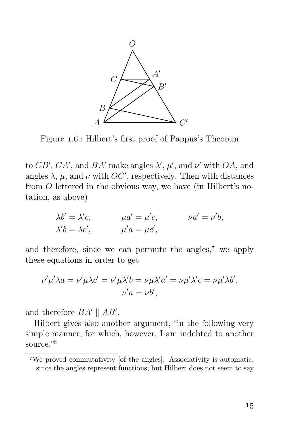

Figure 1.6.: Hilbert's first proof of Pappus's Theorem

to  $CB', CA'$ , and  $BA'$  make angles  $\lambda', \mu'$ , and  $\nu'$  with  $OA$ , and angles  $\lambda$ ,  $\mu$ , and  $\nu$  with  $OC'$ , respectively. Then with distances from O lettered in the obvious way, we have (in Hilbert's notation, as above)

$$
\lambda b' = \lambda' c, \qquad \mu a' = \mu' c, \qquad \nu a' = \nu' b, \n\lambda' b = \lambda c', \qquad \mu' a = \mu c',
$$

and therefore, since we can permute the angles, $\tau$  we apply these equations in order to get

$$
\nu'\mu'\lambda a = \nu'\mu\lambda c' = \nu'\mu\lambda'b = \nu\mu\lambda'a' = \nu\mu'\lambda'c = \nu\mu'\lambda b',
$$
  

$$
\nu'a = \nu b',
$$

and therefore  $BA' \parallel AB'$ .

Hilbert gives also another argument, "in the following very simple manner, for which, however, I am indebted to another source."

We proved commutativity [of the angles]. Associativity is automatic, since the angles represent functions; but Hilbert does not seem to say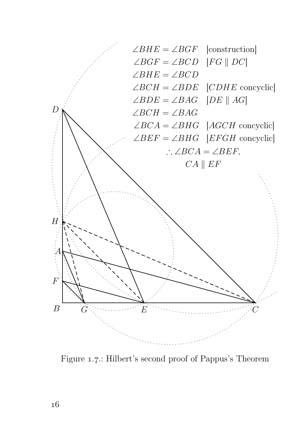

Figure 1.7: Hilbert's second proof of Pappus's Theorem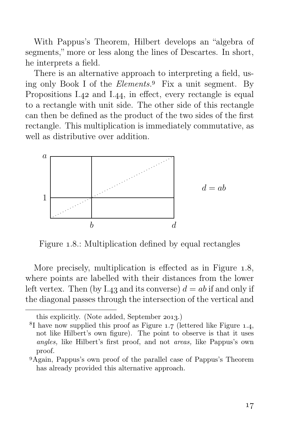With Pappus's Theorem, Hilbert develops an "algebra of segments," more or less along the lines of Descartes. In short, he interprets a field.

There is an alternative approach to interpreting a field, using only Book I of the *Elements*.<sup>9</sup> Fix a unit segment. By Propositions I.42 and I.44, in effect, every rectangle is equal to a rectangle with unit side. The other side of this rectangle can then be defined as the product of the two sides of the first rectangle. This multiplication is immediately commutative, as well as distributive over addition.



Figure 1.8.: Multiplication defined by equal rectangles

More precisely, multiplication is effected as in Figure 1.8, where points are labelled with their distances from the lower left vertex. Then (by I.43 and its converse)  $d = ab$  if and only if the diagonal passes through the intersection of the vertical and

this explicitly. (Note added, September 2013.)

 ${}^{8}I$  have now supplied this proof as Figure 1.7 (lettered like Figure 1.4, not like Hilbert's own figure). The point to observe is that it uses angles, like Hilbert's first proof, and not areas, like Pappus's own proof.

Again, Pappus's own proof of the parallel case of Pappus's Theorem has already provided this alternative approach.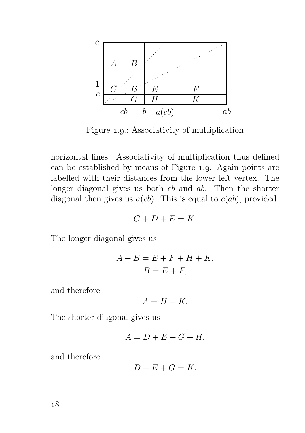

Figure 1.9.: Associativity of multiplication

horizontal lines. Associativity of multiplication thus defined can be established by means of Figure 1.9. Again points are labelled with their distances from the lower left vertex. The longer diagonal gives us both *cb* and *ab*. Then the shorter diagonal then gives us  $a(cb)$ . This is equal to  $c(ab)$ , provided

$$
C + D + E = K.
$$

The longer diagonal gives us

$$
A + B = E + F + H + K,
$$
  

$$
B = E + F,
$$

and therefore

$$
A = H + K.
$$

The shorter diagonal gives us

$$
A = D + E + G + H,
$$

and therefore

$$
D + E + G = K.
$$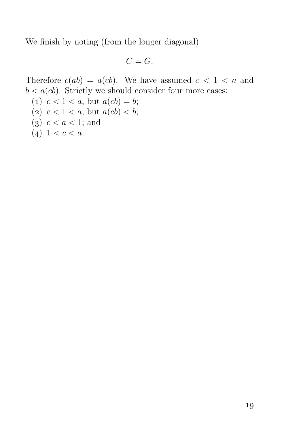We finish by noting (from the longer diagonal)

$$
C=G.
$$

Therefore  $c(ab) = a(cb)$ . We have assumed  $c < 1 < a$  and  $b < a(cb)$ . Strictly we should consider four more cases:

(1)  $c < 1 < a$ , but  $a(cb) = b$ ; (2)  $c < 1 < a$ , but  $a(cb) < b$ ; (3)  $c < a < 1$ ; and (4)  $1 < c < a$ .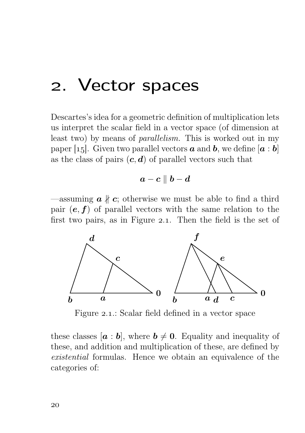#### . Vector spaces

Descartes's idea for a geometric definition of multiplication lets us interpret the scalar field in a vector space (of dimension at least two) by means of parallelism. This is worked out in my paper [15]. Given two parallel vectors  $\boldsymbol{a}$  and  $\boldsymbol{b}$ , we define  $[\boldsymbol{a} : \boldsymbol{b}]$ as the class of pairs  $(c, d)$  of parallel vectors such that

$$
\boldsymbol{a}-\boldsymbol{c}\parallel\boldsymbol{b}-\boldsymbol{d}
$$

—assuming  $\boldsymbol{a} \nparallel \boldsymbol{c}$ ; otherwise we must be able to find a third pair  $(e, f)$  of parallel vectors with the same relation to the first two pairs, as in Figure 2.1. Then the field is the set of



Figure 2.1.: Scalar field defined in a vector space

these classes  $[a : b]$ , where  $b \neq 0$ . Equality and inequality of these, and addition and multiplication of these, are defined by existential formulas. Hence we obtain an equivalence of the categories of: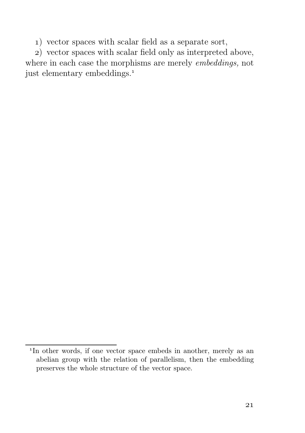) vector spaces with scalar field as a separate sort,

) vector spaces with scalar field only as interpreted above, where in each case the morphisms are merely embeddings, not just elementary embeddings.

<sup>&</sup>lt;sup>1</sup>In other words, if one vector space embeds in another, merely as an abelian group with the relation of parallelism, then the embedding preserves the whole structure of the vector space.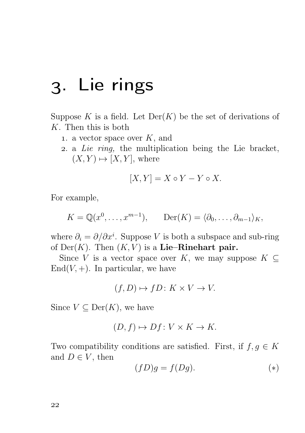## . Lie rings

Suppose K is a field. Let  $Der(K)$  be the set of derivations of K. Then this is both

- 1. a vector space over  $K$ , and
- . a Lie ring, the multiplication being the Lie bracket,  $(X, Y) \mapsto [X, Y]$ , where

$$
[X, Y] = X \circ Y - Y \circ X.
$$

For example,

$$
K = \mathbb{Q}(x^0, \dots, x^{m-1}), \qquad \text{Der}(K) = \langle \partial_0, \dots, \partial_{m-1} \rangle_K,
$$

where  $\partial_i = \partial/\partial x^i$ . Suppose V is both a subspace and sub-ring of  $Der(K)$ . Then  $(K, V)$  is a Lie–Rinehart pair.

Since V is a vector space over K, we may suppose  $K \subset$  $\text{End}(V, +)$ . In particular, we have

$$
(f, D) \mapsto fD \colon K \times V \to V.
$$

Since  $V \subseteq \text{Der}(K)$ , we have

$$
(D, f) \mapsto Df \colon V \times K \to K.
$$

Two compatibility conditions are satisfied. First, if  $f, g \in K$ and  $D \in V$ , then

$$
(fD)g = f(Dg). \tag{*}
$$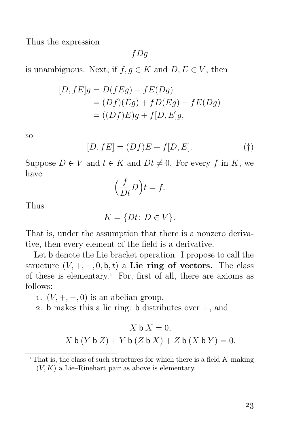Thus the expression

 $fDg$ 

is unambiguous. Next, if  $f, g \in K$  and  $D, E \in V$ , then

$$
[D, fE]g = D(fEg) - fE(Dg)
$$
  
= 
$$
(Df)(Eg) + fD(Eg) - fE(Dg)
$$
  
= 
$$
((Df)E)g + f[D, E]g,
$$

so

$$
[D, fE] = (Df)E + f[D, E]. \tag{\dagger}
$$

Suppose  $D \in V$  and  $t \in K$  and  $Dt \neq 0$ . For every f in K, we have

$$
\left(\frac{f}{Dt}D\right)t = f.
$$

Thus

 $K = \{Dt: D \in V\}.$ 

That is, under the assumption that there is a nonzero derivative, then every element of the field is a derivative.

Let b denote the Lie bracket operation. I propose to call the structure  $(V, +, -, 0, b, t)$  a Lie ring of vectors. The class of these is elementary.<sup>1</sup> For, first of all, there are axioms as follows:

1.  $(V, +, -, 0)$  is an abelian group.

2. b makes this a lie ring: b distributes over  $+$ , and

$$
X \mathbf{b} X = 0,
$$
  
 
$$
X \mathbf{b} (Y \mathbf{b} Z) + Y \mathbf{b} (Z \mathbf{b} X) + Z \mathbf{b} (X \mathbf{b} Y) = 0.
$$

<sup>&</sup>lt;sup>1</sup>That is, the class of such structures for which there is a field  $K$  making  $(V, K)$  a Lie–Rinehart pair as above is elementary.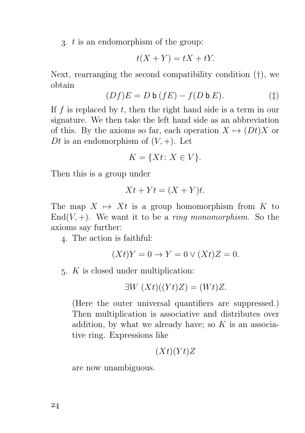3.  $t$  is an endomorphism of the group:

$$
t(X+Y) = tX + tY.
$$

Next, rearranging the second compatibility condition (†), we obtain

$$
(Df)E = D \mathbf{b} (fE) - f(D \mathbf{b} E). \tag{\ddagger}
$$

If f is replaced by  $t$ , then the right hand side is a term in our signature. We then take the left hand side as an abbreviation of this. By the axioms so far, each operation  $X \mapsto (Dt)X$  or Dt is an endomorphism of  $(V, +)$ . Let

$$
K = \{Xt \colon X \in V\}.
$$

Then this is a group under

$$
Xt + Yt = (X + Y)t.
$$

The map  $X \mapsto Xt$  is a group homomorphism from K to  $End(V, +)$ . We want it to be a *ring monomorphism*. So the axioms say further:

. The action is faithful:

$$
(Xt)Y = 0 \to Y = 0 \lor (Xt)Z = 0.
$$

 $5.$  K is closed under multiplication:

$$
\exists W\ (Xt)((Yt)Z) = (Wt)Z.
$$

(Here the outer universal quantifiers are suppressed.) Then multiplication is associative and distributes over addition, by what we already have; so  $K$  is an associative ring. Expressions like

$$
(Xt)(Yt)Z
$$

are now unambiguous.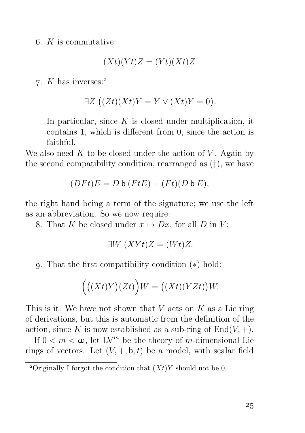6.  $K$  is commutative:

$$
(Xt)(Yt)Z = (Yt)(Xt)Z.
$$

7.  $K$  has inverses:<sup>2</sup>

$$
\exists Z \left( (Zt)(Xt)Y = Y \vee (Xt)Y = 0 \right).
$$

In particular, since  $K$  is closed under multiplication, it contains 1, which is different from 0, since the action is faithful.

We also need K to be closed under the action of V. Again by the second compatibility condition, rearranged as (‡), we have

$$
(DFt)E = D \mathbf{b} (FtE) - (Ft)(D \mathbf{b} E),
$$

the right hand being a term of the signature; we use the left as an abbreviation. So we now require:

8. That K be closed under  $x \mapsto Dx$ , for all D in V:

$$
\exists W \ (XYt)Z = (Wt)Z.
$$

. That the first compatibility condition (∗) hold:

$$
((Xt)Y)(Zt)\Big)W = ((Xt)(YZt))W.
$$

This is it. We have not shown that  $V$  acts on  $K$  as a Lie ring of derivations, but this is automatic from the definition of the action, since K is now established as a sub-ring of  $End(V,+)$ .

If  $0 < m < \omega$ , let LV<sup>m</sup> be the theory of m-dimensional Lie rings of vectors. Let  $(V, +, \mathbf{b}, t)$  be a model, with scalar field

<sup>&</sup>lt;sup>2</sup>Originally I forgot the condition that  $(Xt)Y$  should not be 0.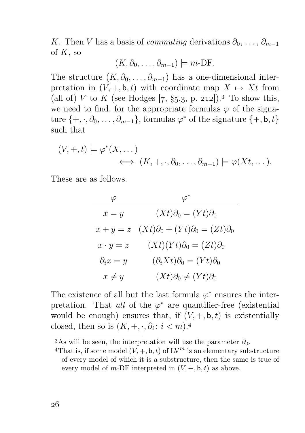K. Then V has a basis of *commuting* derivations  $\partial_0, \ldots, \partial_{m-1}$ of  $K$ , so

$$
(K, \partial_0, \ldots, \partial_{m-1}) \models m\text{-DF}.
$$

The structure  $(K, \partial_0, \ldots, \partial_{m-1})$  has a one-dimensional interpretation in  $(V, +, \mathbf{b}, t)$  with coordinate map  $X \mapsto Xt$  from (all of) V to K (see Hodges [7, §5.3, p. 212]).<sup>3</sup> To show this, we need to find, for the appropriate formulas  $\varphi$  of the signature  $\{+, \cdot, \partial_0, \ldots, \partial_{m-1}\}$ , formulas  $\varphi^*$  of the signature  $\{+, \mathbf{b}, t\}$ such that

$$
(V, +, t) \models \varphi^*(X, \dots) \iff (K, +, \cdot, \partial_0, \dots, \partial_{m-1}) \models \varphi(Xt, \dots).
$$

These are as follows.

|                    | $\varphi^*$                                        |
|--------------------|----------------------------------------------------|
| $x = y$            | $(Xt)\partial_0 = (Yt)\partial_0$                  |
| $x + y = z$        | $(Xt)\partial_0 + (Yt)\partial_0 = (Zt)\partial_0$ |
| $x \cdot y = z$    | $(Xt)(Yt)\partial_0 = (Zt)\partial_0$              |
| $\partial_i x = y$ | $(\partial_i Xt)\partial_0 = (Yt)\partial_0$       |
| $x \neq y$         | $(Xt)\partial_0 \neq (Yt)\partial_0$               |

The existence of all but the last formula  $\varphi^*$  ensures the interpretation. That all of the  $\varphi^*$  are quantifier-free (existential would be enough) ensures that, if  $(V, +, \mathsf{b}, t)$  is existentially closed, then so is  $(K, +, \cdot, \partial_i : i < m)$ .<sup>4</sup>

<sup>&</sup>lt;sup>3</sup>As will be seen, the interpretation will use the parameter  $\partial_0$ .

<sup>&</sup>lt;sup>4</sup>That is, if some model  $(V, +, \mathsf{b}, t)$  of  $\mathbb{L}V^m$  is an elementary substructure of every model of which it is a substructure, then the same is true of every model of m-DF interpreted in  $(V, +, \mathbf{b}, t)$  as above.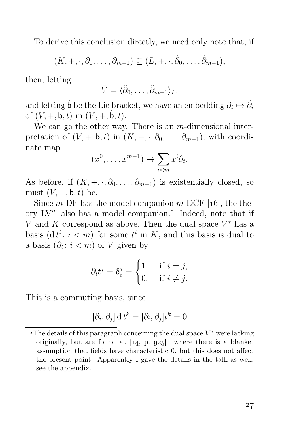To derive this conclusion directly, we need only note that, if

$$
(K,+,\cdot,\partial_0,\ldots,\partial_{m-1})\subseteq (L,+,\cdot,\tilde{\partial}_0,\ldots,\tilde{\partial}_{m-1}),
$$

then, letting

$$
\tilde{V} = \langle \tilde{\partial}_0, \ldots, \tilde{\partial}_{m-1} \rangle_L,
$$

and letting  $\tilde{\mathsf{b}}$  be the Lie bracket, we have an embedding  $\partial_i \mapsto \tilde{\partial}_i$ of  $(V, +, \mathsf{b}, t)$  in  $(\tilde{V}, +, \tilde{\mathsf{b}}, t)$ .

We can go the other way. There is an  $m$ -dimensional interpretation of  $(V, +, \mathbf{b}, t)$  in  $(K, +, \cdot, \partial_0, \ldots, \partial_{m-1})$ , with coordinate map

$$
(x^0, \ldots, x^{m-1}) \mapsto \sum_{i < m} x^i \partial_i.
$$

As before, if  $(K, +, \cdot, \partial_0, \ldots, \partial_{m-1})$  is existentially closed, so must  $(V, +, \mathsf{b}, t)$  be.

Since  $m$ -DF has the model companion  $m$ -DCF [16], the theory  $LV^m$  also has a model companion.<sup>5</sup> Indeed, note that if V and K correspond as above, Then the dual space  $V^*$  has a basis  $(dt^i: i < m)$  for some  $t^i$  in K, and this basis is dual to a basis  $(\partial_i : i < m)$  of V given by

$$
\partial_i t^j = \delta_i^j = \begin{cases} 1, & \text{if } i = j, \\ 0, & \text{if } i \neq j. \end{cases}
$$

This is a commuting basis, since

$$
[\partial_i, \partial_j] \, \mathrm{d} \, t^k = [\partial_i, \partial_j] t^k = 0
$$

<sup>&</sup>lt;sup>5</sup>The details of this paragraph concerning the dual space  $V^*$  were lacking originally, but are found at  $[14, p. 925]$ —where there is a blanket assumption that fields have characteristic 0, but this does not affect the present point. Apparently I gave the details in the talk as well: see the appendix.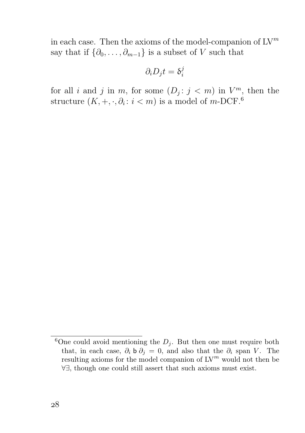in each case. Then the axioms of the model-companion of  $\mathrm{LV}^m$ say that if  $\{\partial_0, \ldots, \partial_{m-1}\}\$ is a subset of V such that

$$
\partial_i D_j t = \delta_i^j
$$

for all i and j in m, for some  $(D_j : j < m)$  in  $V^m$ , then the structure  $(K, +, \cdot, \partial_i : i < m)$  is a model of m-DCF.<sup>6</sup>

<sup>&</sup>lt;sup>6</sup>One could avoid mentioning the  $D_i$ . But then one must require both that, in each case,  $\partial_i$  b  $\partial_j = 0$ , and also that the  $\partial_i$  span V. The resulting axioms for the model companion of  $\mathrm{LV}^m$  would not then be ∀∃, though one could still assert that such axioms must exist.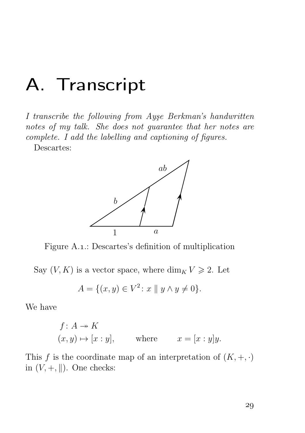### A. Transcript

I transcribe the following from Ayşe Berkman's handwritten notes of my talk. She does not guarantee that her notes are complete. I add the labelling and captioning of figures.

Descartes:



Figure A.1.: Descartes's definition of multiplication

Say  $(V, K)$  is a vector space, where  $\dim_K V \geq 2$ . Let

$$
A = \{(x, y) \in V^2 \colon x \parallel y \land y \neq 0\}.
$$

We have

$$
f: A \twoheadrightarrow K
$$
  
\n $(x, y) \mapsto [x : y],$  where  $x = [x : y]y.$ 

This f is the coordinate map of an interpretation of  $(K, +, \cdot)$ in  $(V, +, \|)$ . One checks: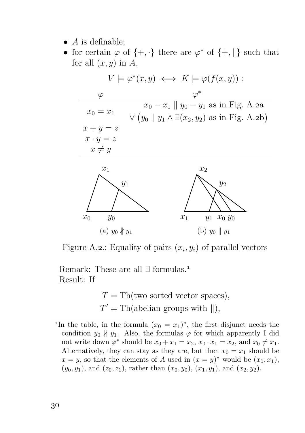- $\bullet$  A is definable;
- for certain  $\varphi$  of  $\{+, \cdot\}$  there are  $\varphi^*$  of  $\{+, \| \}$  such that for all  $(x, y)$  in A,



Figure A.2.: Equality of pairs  $(x_i, y_i)$  of parallel vectors

Remark: These are all ∃ formulas. Result: If

> $T = Th(two sorted vector spaces),$  $T' = Th(abelian groups with ||),$

<sup>&</sup>lt;sup>1</sup>In the table, in the formula  $(x_0 = x_1)^*$ , the first disjunct needs the condition  $y_0 \nparallel y_1$ . Also, the formulas  $\varphi$  for which apparently I did not write down  $\varphi^*$  should be  $x_0 + x_1 = x_2, x_0 \cdot x_1 = x_2$ , and  $x_0 \neq x_1$ . Alternatively, they can stay as they are, but then  $x_0 = x_1$  should be  $x = y$ , so that the elements of A used in  $(x = y)^*$  would be  $(x_0, x_1)$ ,  $(y_0, y_1)$ , and  $(z_0, z_1)$ , rather than  $(x_0, y_0)$ ,  $(x_1, y_1)$ , and  $(x_2, y_2)$ .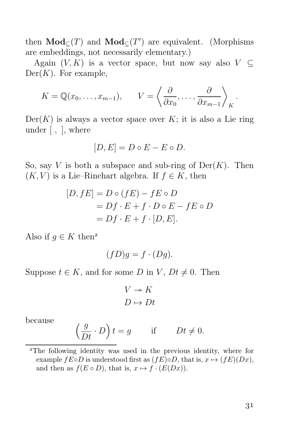then  $\mathbf{Mod}_{\subseteq}(T)$  and  $\mathbf{Mod}_{\subseteq}(T')$  are equivalent. (Morphisms are embeddings, not necessarily elementary.)

Again  $(V, K)$  is a vector space, but now say also  $V \subset$  $Der(K)$ . For example,

$$
K = \mathbb{Q}(x_0, \ldots, x_{m-1}), \qquad V = \left\langle \frac{\partial}{\partial x_0}, \ldots, \frac{\partial}{\partial x_{m-1}} \right\rangle_K
$$

 $Der(K)$  is always a vector space over K; it is also a Lie ring under [ , ], where

$$
[D, E] = D \circ E - E \circ D.
$$

So, say V is both a subspace and sub-ring of  $Der(K)$ . Then  $(K, V)$  is a Lie–Rinehart algebra. If  $f \in K$ , then

$$
[D, fE] = D \circ (fE) - fE \circ D
$$
  
=  $Df \cdot E + f \cdot D \circ E - fE \circ D$   
=  $Df \cdot E + f \cdot [D, E].$ 

Also if  $g \in K$  then<sup>2</sup>

$$
(fD)g = f \cdot (Dg).
$$

Suppose  $t \in K$ , and for some D in V,  $Dt \neq 0$ . Then

$$
V \twoheadrightarrow K
$$

$$
D \mapsto Dt
$$

because

$$
\left(\frac{g}{Dt} \cdot D\right)t = g \quad \text{if} \quad Dt \neq 0.
$$

.

The following identity was used in the previous identity, where for example  $fE \circ D$  is understood first as  $(fE) \circ D$ , that is,  $x \mapsto (fE)(Dx)$ , and then as  $f(E \circ D)$ , that is,  $x \mapsto f \cdot (E(Dx))$ .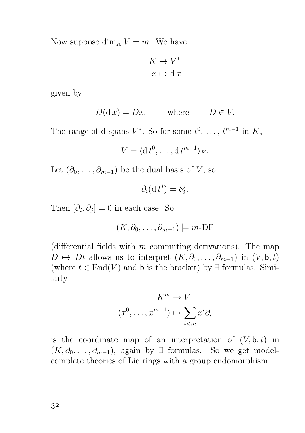Now suppose  $\dim_K V = m$ . We have

$$
K \to V^*
$$

$$
x \mapsto dx
$$

given by

$$
D(\mathrm{d}\,x) = Dx, \qquad \text{where} \qquad D \in V.
$$

The range of d spans  $V^*$ . So for some  $t^0, \ldots, t^{m-1}$  in K,

$$
V = \langle \mathrm{d} t^0, \ldots, \mathrm{d} t^{m-1} \rangle_K.
$$

Let  $(\partial_0, \ldots, \partial_{m-1})$  be the dual basis of V, so

$$
\partial_i(\mathrm{d}\,t^j)=\delta_i^j.
$$

Then  $[\partial_i, \partial_j] = 0$  in each case. So

$$
(K, \partial_0, \dots, \partial_{m-1}) \models m\text{-DF}
$$

(differential fields with  $m$  commuting derivations). The map  $D \mapsto Dt$  allows us to interpret  $(K, \partial_0, \ldots, \partial_{m-1})$  in  $(V, \mathsf{b}, t)$ (where  $t \in End(V)$  and b is the bracket) by  $\exists$  formulas. Similarly

$$
K^{m} \to V
$$

$$
(x^{0}, \dots, x^{m-1}) \mapsto \sum_{i < m} x^{i} \partial_{i}
$$

is the coordinate map of an interpretation of  $(V, \mathbf{b}, t)$  in  $(K, \partial_0, \ldots, \partial_{m-1})$ , again by ∃ formulas. So we get modelcomplete theories of Lie rings with a group endomorphism.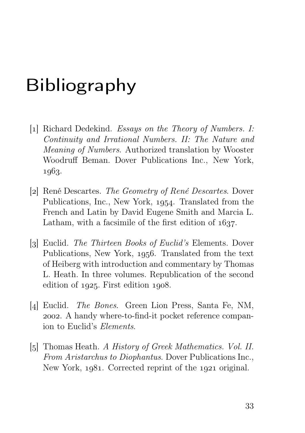## Bibliography

- [1] Richard Dedekind. Essays on the Theory of Numbers. I: Continuity and Irrational Numbers. II: The Nature and Meaning of Numbers. Authorized translation by Wooster Woodruff Beman. Dover Publications Inc., New York, 1963.
- [2] René Descartes. The Geometry of René Descartes. Dover Publications, Inc., New York, 1954. Translated from the French and Latin by David Eugene Smith and Marcia L. Latham, with a facsimile of the first edition of  $1637$ .
- [3] Euclid. *The Thirteen Books of Euclid's* Elements. Dover Publications, New York, 1956. Translated from the text of Heiberg with introduction and commentary by Thomas L. Heath. In three volumes. Republication of the second edition of  $1925$ . First edition  $1908$ .
- [4] Euclid. *The Bones*. Green Lion Press, Santa Fe, NM, . A handy where-to-find-it pocket reference companion to Euclid's Elements.
- [5] Thomas Heath. A History of Greek Mathematics. Vol. II. From Aristarchus to Diophantus. Dover Publications Inc., New York,  $1081$ . Corrected reprint of the  $1021$  original.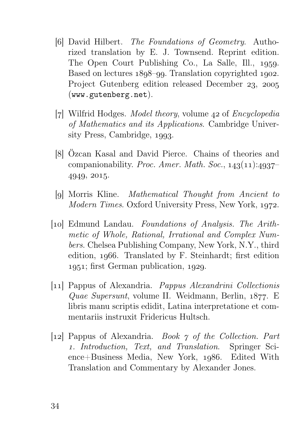- [6] David Hilbert. The Foundations of Geometry. Authorized translation by E. J. Townsend. Reprint edition. The Open Court Publishing Co., La Salle, Ill., 1959. Based on lectures  $1898$ –99. Translation copyrighted 1902. Project Gutenberg edition released December 23, 2005 (www.gutenberg.net).
- [7] Wilfrid Hodges. *Model theory*, volume  $42$  of *Encyclopedia* of Mathematics and its Applications. Cambridge University Press, Cambridge, 1993.
- [8] Özcan Kasal and David Pierce. Chains of theories and companionability. Proc. Amer. Math. Soc.,  $143(11):4937-$ 4949, 2015.
- [9] Morris Kline. *Mathematical Thought from Ancient to* Modern Times. Oxford University Press, New York, 1972.
- [10] Edmund Landau. Foundations of Analysis. The Arithmetic of Whole, Rational, Irrational and Complex Numbers. Chelsea Publishing Company, New York, N.Y., third edition,  $1966$ . Translated by F. Steinhardt; first edition  $1951$ ; first German publication,  $1929$ .
- [] Pappus of Alexandria. Pappus Alexandrini Collectionis Quae Supersunt, volume II. Weidmann, Berlin,  $1877$ . E libris manu scriptis edidit, Latina interpretatione et commentariis instruxit Fridericus Hultsch.
- [12] Pappus of Alexandria. *Book*  $\gamma$  of the Collection. Part . Introduction, Text, and Translation. Springer Sci $ence + Business Media, New York, 1986.$  Edited With Translation and Commentary by Alexander Jones.